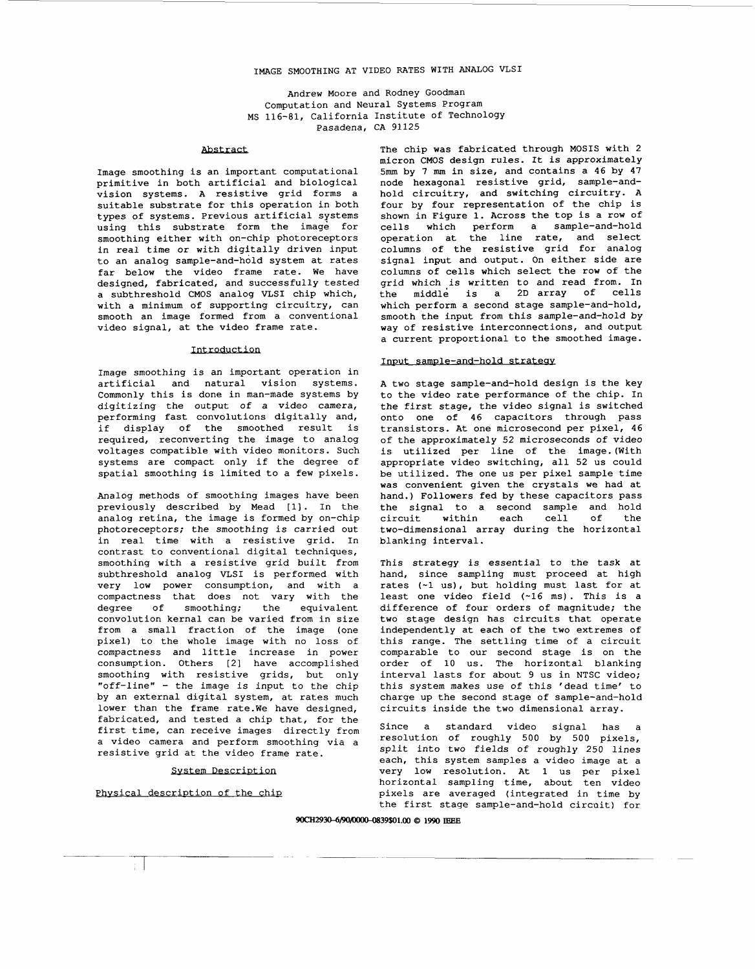# IMAGE SMOOTHING AT VIDEO RATES WITH ANALOG **VLSI**

Andrew Moore and Rodney Goodman Computation and Neural Systems Program MS 116-81, California Institute of Technology Pasadena, CA 91125

## *Abstract*

Image smoothing is an important computational primitive in both artificial and biological vision systems. A resistive grid forms a suitable substrate for this operation in both types of systems. Previous artificial systems using this substrate form the image for smoothing either with on-chip photoreceptors in real time or with digitally driven input to an analog sample-and-hold system at rates far below the video frame rate. We have designed, fabricated, and successfully tested a subthreshold CMOS analog VLSI chip which, with a minimum of supporting circuitry, can smooth an image formed from a conventional video signal, at the video frame rate.

## Introduction

Image smoothing is an important operation in artificial and natural vision systems. Commonly this is done in man-made systems by digitizing the output of a video camera, performing fast convolutions digitally and, if display of the smoothed result is required, reconverting the image to analog voltages compatible with video monitors. Such systems are compact only if the degree of spatial smoothing is limited to a few pixels.

Analog methods of smoothing images have been previously described by Mead [1]. In the analog retina, the image is formed by on-chip photoreceptors; the smoothing is carried out in real time with a resistive grid. In contrast to conventional digital techniques, smoothing with a resistive grid built from subthreshold analog VLSI is performed with very low power consumption, and with a compactness that does not vary with the degree of smoothing; the equivalent convolution kernal can be varied from in size from a small fraction of the image (one pixel) to the whole image with no loss of compactness and little increase in power consumption. Others [21 have accomplished smoothing with resistive grids, but only "off-line" - the image is input to the chip by an external digital system, at rates much lower than the frame rate.We have designed, fabricated, and tested a chip that, for the first time, can receive images directly from a video camera and perform smoothing via a resistive grid at the video frame rate.

#### System Description

Physical description of the chip

The chip was fabricated through MOSIS with 2 micron CMOS design rules. It is approximately 5mm by 7 mm in size, and contains a **46** by **<sup>47</sup>** node hexagonal resistive grid, sample-andhold circuitry, and switching circuitry. A four by four representation of the chip is shown in [Figure 1.](#page-1-0) Across the top is a row of cells which perform a sample-and-hold operation at the line rate, and select columns of the resistive grid for analog signal input and output. On either side are columns of cells which select the row of the grid which is written to and read from. In<br>the middle is a 2D array of cells the middle is a 2D array of which perform a second stage sample-and-hold, smooth the input from this sample-and-hold by way of resistive interconnections, and output a current proportional to the smoothed image.

## Input sample-and-hold strategy

A two stage sample-and-hold design is the key to the video rate performance of the chip. In the first stage, the video signal is switched onto one of **46** capacitors through pass transistors. At one microsecond per pixel, **46**  of the approximately 52 microseconds of video is utilized per line of the image.(With appropriate video switching, all 52 us could be utilized. The one us per pixel sample time was convenient given the crystals we had at hand.) Followers fed by these capacitors pass the signal to a second sample and hold<br>circuit within each cell of the within each cell two-dimensional array during the horizontal blanking interval.

This strategy is essential to the task at hand, since sampling must proceed at high rates (-1 us), but holding must last for at least one video field (~16 ms). This is a difference of four orders of magnitude; the two stage design has circuits that operate independently at each of the two extremes of this range. The settling time of a circuit comparable to our second stage is on the order of 10 us. The horizontal blanking interval lasts for about **9** us in NTSC video; this system makes use of this 'dead time' to charge up the second stage of sample-and-hold circuits inside the two dimensional array.

Since a standard video signal has a resolution of roughly 500 by 500 pixels, split into two fields of roughly 250 lines each, this system samples a video image at a very low resolution. At 1 us per pixel horizontal sampling time, about ten video pixels are averaged (integrated in time by the first stage sample-and-hold circuit) for

90CH2930-6/90/0000-0839\$01.00 © 1990 IEEE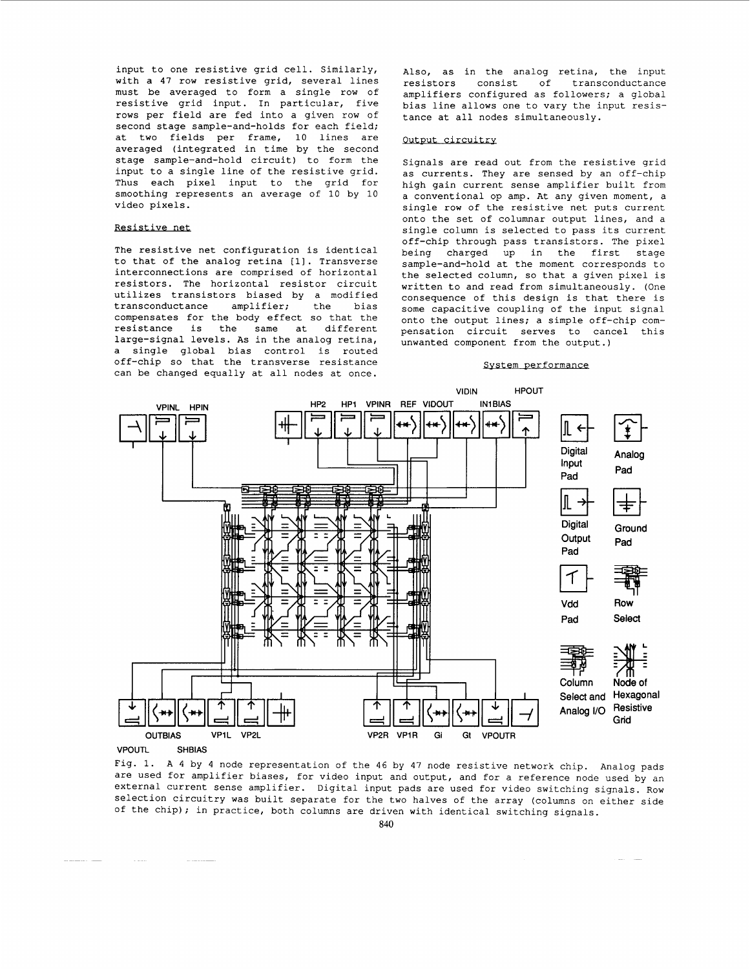<span id="page-1-0"></span>input to one resistive grid cell. Similarly, with a *41* row resistive grid, several lines must be averaged to form a single row of resistive grid input. In particular, five rows per field are fed into a given row of second stage sample-and-holds for each field; at two fields per frame, 10 lines are averaged (integrated in time by the second stage sample-and-hold circuit) to form the input to a single line of the resistive grid. Thus each pixel input to the grid for smoothing represents an average of 10 by 10 video pixels.

# Resistive net

The resistive net configuration is identical to that of the analog retina **[l].** Transverse interconnections are comprised of horizontal resistors. The horizontal resistor circuit utilizes transistors biased by a modified<br>transconductance amplifier; the bias transconductance compensates for the body effect so that the<br>resistance is the same at different the same at different large-signal levels. As in the analog retina, a single global bias control is routed off-chip so that the transverse resistance can be changed equally at all nodes at once.

Also, as in the analog retina, the input<br>resistors consist of transconductance consist of transconductance amplifiers configured as followers; a global bias line allows one to vary the input resistance at all nodes simultaneously.

## Qutput circuitrv

Signals are read out from the resistive grid as currents. They are sensed by an off-chip high gain current sense amplifier built from a conventional op amp. At any given moment, a single row of the resistive net puts current onto the set of columnar output lines, and a single column is selected to pass its current off-chip through pass transistors. The pixel being charged up in the first stage sample-and-hold at the moment corresponds to the selected column, so that a given pixel is written to and read from simultaneously. (One consequence of this design is that there is some capacitive coupling of the input signal onto the output lines; a simple off-chip compensation circuit serves to cancel this unwanted component from the output.)

#### System performance



**VPOUTL SHBIAS** 

Fig. 1. A 4 by 4 node representation of the 46 by 47 node resistive network chip. Analog pads are used for amplifier biases, for video input and output, and for a reference node used by an external current sense amplifier. Digital input pads are used for video switching signals. Row selection circuitry was built separate for the two halves of the array (columns on either side of the chip); in practice, both columns are driven with identical switching signals.